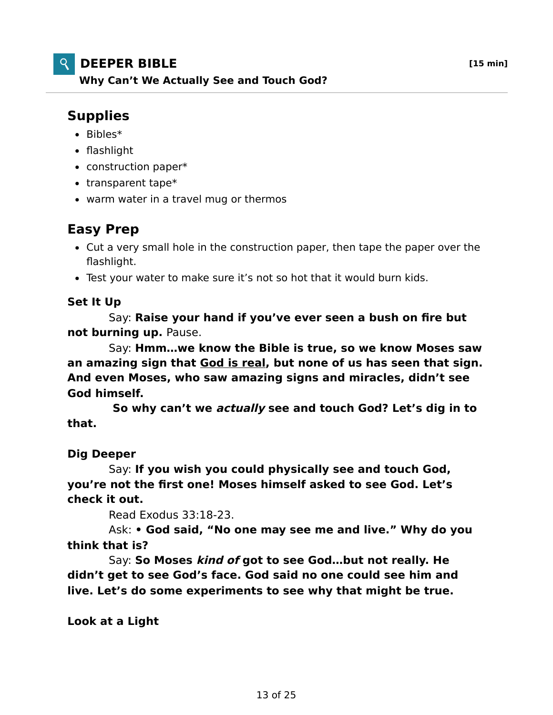# **DEEPER BIBLE [15 min]**

**Why Can't We Actually See and Touch God?**

# **Supplies**

- $\bullet$  Bibles\*
- flashlight
- construction paper\*
- $\bullet$  transparent tape\*
- warm water in a travel mug or thermos

### **Easy Prep**

- Cut a very small hole in the construction paper, then tape the paper over the flashlight.
- Test your water to make sure it's not so hot that it would burn kids.

#### **Set It Up**

 Say: **Raise your hand if you've ever seen a bush on fire but not burning up.** Pause.

 Say: **Hmm…we know the Bible is true, so we know Moses saw an amazing sign that God is real, but none of us has seen that sign. And even Moses, who saw amazing signs and miracles, didn't see God himself.**

 **So why can't we actually see and touch God? Let's dig in to that.**

#### **Dig Deeper**

 Say: **If you wish you could physically see and touch God, you're not the first one! Moses himself asked to see God. Let's check it out.**

Read Exodus 33:18-23.

 Ask: **• God said, "No one may see me and live." Why do you think that is?**

 Say: **So Moses kind of got to see God…but not really. He didn't get to see God's face. God said no one could see him and live. Let's do some experiments to see why that might be true.**

**Look at a Light**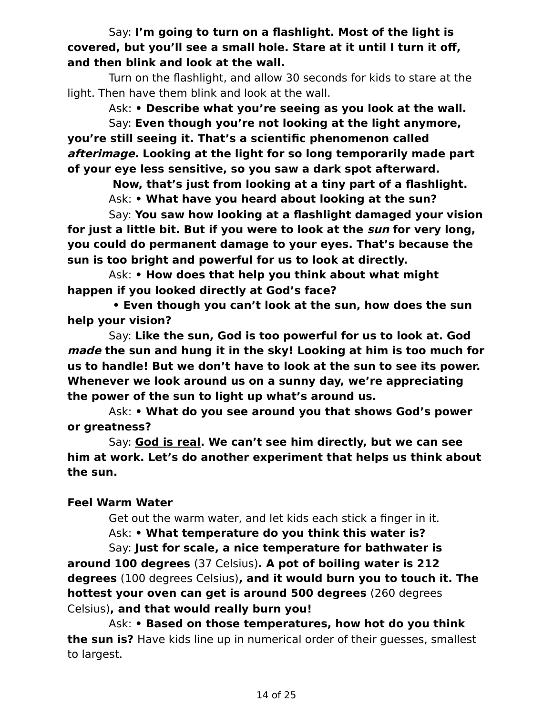Say: **I'm going to turn on a flashlight. Most of the light is covered, but you'll see a small hole. Stare at it until I turn it off, and then blink and look at the wall.**

 Turn on the flashlight, and allow 30 seconds for kids to stare at the light. Then have them blink and look at the wall.

 Ask: **• Describe what you're seeing as you look at the wall.** Say: **Even though you're not looking at the light anymore, you're still seeing it. That's a scientific phenomenon called afterimage. Looking at the light for so long temporarily made part of your eye less sensitive, so you saw a dark spot afterward.**

 **Now, that's just from looking at a tiny part of a flashlight.**

Ask: **• What have you heard about looking at the sun?**

 Say: **You saw how looking at a flashlight damaged your vision for just a little bit. But if you were to look at the sun for very long, you could do permanent damage to your eyes. That's because the sun is too bright and powerful for us to look at directly.**

 Ask: **• How does that help you think about what might happen if you looked directly at God's face?**

 **• Even though you can't look at the sun, how does the sun help your vision?**

 Say: **Like the sun, God is too powerful for us to look at. God made the sun and hung it in the sky! Looking at him is too much for us to handle! But we don't have to look at the sun to see its power. Whenever we look around us on a sunny day, we're appreciating the power of the sun to light up what's around us.**

 Ask: **• What do you see around you that shows God's power or greatness?**

 Say: **God is real. We can't see him directly, but we can see him at work. Let's do another experiment that helps us think about the sun.**

### **Feel Warm Water**

Get out the warm water, and let kids each stick a finger in it.

Ask: **• What temperature do you think this water is?**

 Say: **Just for scale, a nice temperature for bathwater is around 100 degrees** (37 Celsius)**. A pot of boiling water is 212 degrees** (100 degrees Celsius)**, and it would burn you to touch it. The hottest your oven can get is around 500 degrees** (260 degrees Celsius)**, and that would really burn you!**

 Ask: **• Based on those temperatures, how hot do you think the sun is?** Have kids line up in numerical order of their guesses, smallest to largest.